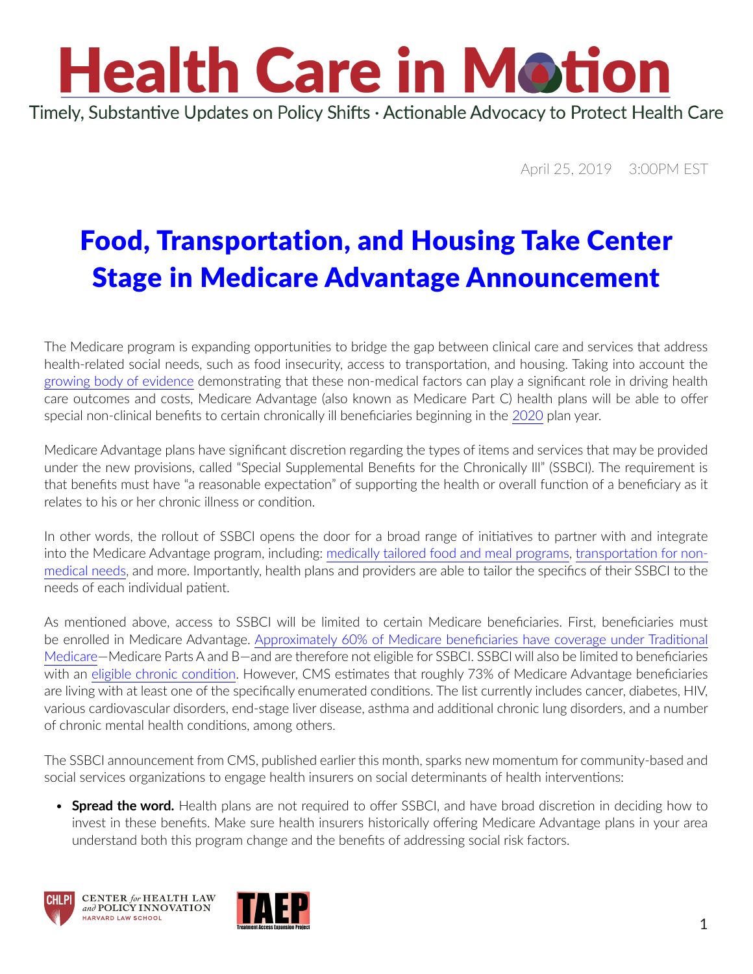## **Health Care in Motion** Timely, Substantive Updates on Policy Shifts · Actionable Advocacy to Protect Health Care

April 25, 2019 3:00PM EST

## Food, Transportation, and Housing Take Center Stage in Medicare Advantage Announcement

The Medicare program is expanding opportunities to bridge the gap between clinical care and services that address health-related social needs, such as food insecurity, access to transportation, and housing. Taking into account the [growing body of evidence](https://now.tufts.edu/news-releases/prescribing-healthy-food-medicaremedicaid-cost-effective-could-improve-health-outcomes) demonstrating that these non-medical factors can play a significant role in driving health care outcomes and costs, Medicare Advantage (also known as Medicare Part C) health plans will be able to offer special non-clinical benefits to certain chronically ill beneficiaries beginning in the [2020](https://www.cms.gov/Medicare/Health-Plans/MedicareAdvtgSpecRateStats/Downloads/Announcement2020.pdf) plan year.

Medicare Advantage plans have significant discretion regarding the types of items and services that may be provided under the new provisions, called "Special Supplemental Benefits for the Chronically Ill" (SSBCI). The requirement is that benefits must have "a reasonable expectation" of supporting the health or overall function of a beneficiary as it relates to his or her chronic illness or condition.

In other words, the rollout of SSBCI opens the door for a broad range of initiatives to partner with and integrate into the Medicare Advantage program, including: [medically tailored food and meal programs](http://www.chlpi.org/wp-content/uploads/2013/12/6.5.2014-Food-is-Medicine-Report-FINAL.pdf), [transportation for non](https://www.chlpi.org/wp-content/uploads/2013/12/Non-EMT-Transportation_Issue-Brief-4.pdf)[medical needs](https://www.chlpi.org/wp-content/uploads/2013/12/Non-EMT-Transportation_Issue-Brief-4.pdf), and more. Importantly, health plans and providers are able to tailor the specifics of their SSBCI to the needs of each individual patient.

As mentioned above, access to SSBCI will be limited to certain Medicare beneficiaries. First, beneficiaries must be enrolled in Medicare Advantage. [Approximately 60% of Medicare beneficiaries have coverage under Traditional](https://www.kff.org/medicare/issue-brief/a-dozen-facts-about-medicare-advantage/)  [Medicare](https://www.kff.org/medicare/issue-brief/a-dozen-facts-about-medicare-advantage/)—Medicare Parts A and B—and are therefore not eligible for SSBCI. SSBCI will also be limited to beneficiaries with an [eligible chronic condition.](https://www.cms.gov/Regulations-and-Guidance/Guidance/Manuals/downloads/mc86c16b.pdf) However, CMS estimates that roughly 73% of Medicare Advantage beneficiaries are living with at least one of the specifically enumerated conditions. The list currently includes cancer, diabetes, HIV, various cardiovascular disorders, end-stage liver disease, asthma and additional chronic lung disorders, and a number of chronic mental health conditions, among others.

The SSBCI announcement from CMS, published earlier this month, sparks new momentum for community-based and social services organizations to engage health insurers on social determinants of health interventions:

• **Spread the word.** Health plans are not required to offer SSBCI, and have broad discretion in deciding how to invest in these benefits. Make sure health insurers historically offering Medicare Advantage plans in your area understand both this program change and the benefits of addressing social risk factors.